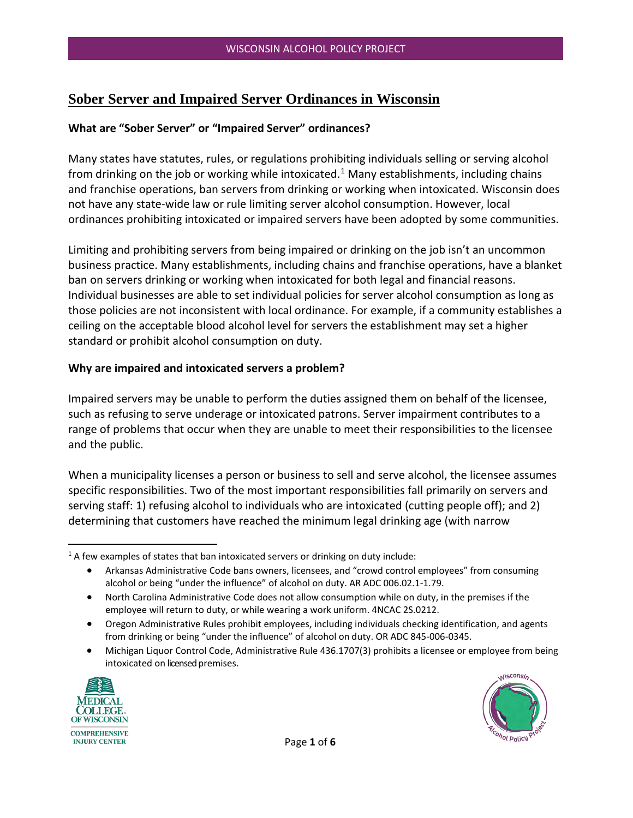# **Sober Server and Impaired Server Ordinances in Wisconsin**

#### **What are "Sober Server" or "Impaired Server" ordinances?**

Many states have statutes, rules, or regulations prohibiting individuals selling or serving alcohol from drinking on the job or working while intoxicated.<sup>[1](#page-0-0)</sup> Many establishments, including chains and franchise operations, ban servers from drinking or working when intoxicated. Wisconsin does not have any state-wide law or rule limiting server alcohol consumption. However, local ordinances prohibiting intoxicated or impaired servers have been adopted by some communities.

Limiting and prohibiting servers from being impaired or drinking on the job isn't an uncommon business practice. Many establishments, including chains and franchise operations, have a blanket ban on servers drinking or working when intoxicated for both legal and financial reasons. Individual businesses are able to set individual policies for server alcohol consumption as long as those policies are not inconsistent with local ordinance. For example, if a community establishes a ceiling on the acceptable blood alcohol level for servers the establishment may set a higher standard or prohibit alcohol consumption on duty.

#### **Why are impaired and intoxicated servers a problem?**

Impaired servers may be unable to perform the duties assigned them on behalf of the licensee, such as refusing to serve underage or intoxicated patrons. Server impairment contributes to a range of problems that occur when they are unable to meet their responsibilities to the licensee and the public.

When a municipality licenses a person or business to sell and serve alcohol, the licensee assumes specific responsibilities. Two of the most important responsibilities fall primarily on servers and serving staff: 1) refusing alcohol to individuals who are intoxicated (cutting people off); and 2) determining that customers have reached the minimum legal drinking age (with narrow

- North Carolina Administrative Code does not allow consumption while on duty, in the premises if the employee will return to duty, or while wearing a work uniform. 4NCAC 2S.0212.
- Oregon Administrative Rules prohibit employees, including individuals checking identification, and agents from drinking or being "under the influence" of alcohol on duty. OR ADC 845-006-0345.
- Michigan Liquor Control Code, Administrative Rule 436.1707(3) prohibits a licensee or employee from being intoxicated on licensed premises.





<span id="page-0-0"></span><sup>&</sup>lt;sup>1</sup> A few examples of states that ban intoxicated servers or drinking on duty include:

<sup>•</sup> Arkansas Administrative Code bans owners, licensees, and "crowd control employees" from consuming alcohol or being "under the influence" of alcohol on duty. AR ADC 006.02.1-1.79.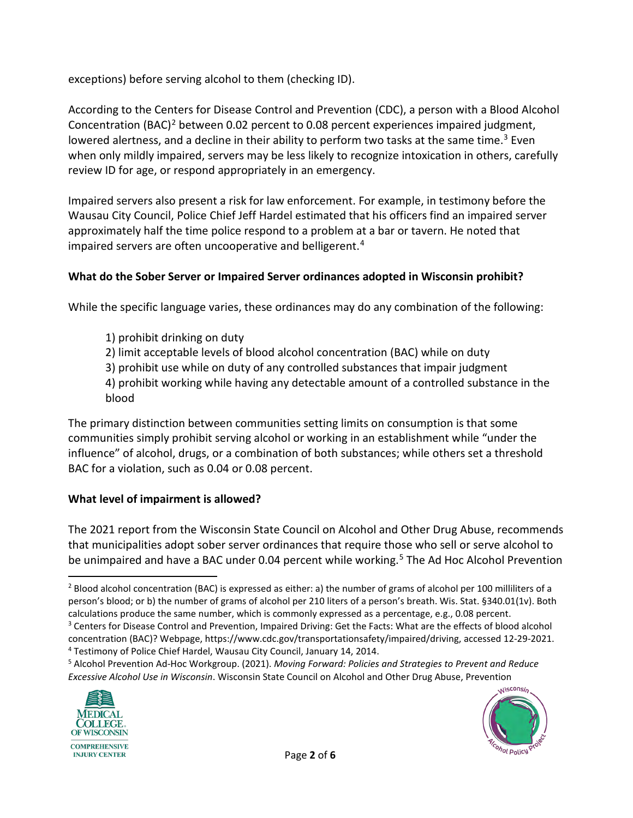exceptions) before serving alcohol to them (checking ID).

According to the Centers for Disease Control and Prevention (CDC), a person with a Blood Alcohol Concentration (BAC)<sup>[2](#page-1-0)</sup> between 0.02 percent to 0.08 percent experiences impaired judgment, lowered alertness, and a decline in their ability to perform two tasks at the same time.<sup>3</sup> Even when only mildly impaired, servers may be less likely to recognize intoxication in others, carefully review ID for age, or respond appropriately in an emergency.

Impaired servers also present a risk for law enforcement. For example, in testimony before the Wausau City Council, Police Chief Jeff Hardel estimated that his officers find an impaired server approximately half the time police respond to a problem at a bar or tavern. He noted that impaired servers are often uncooperative and belligerent.<sup>4</sup>

## **What do the Sober Server or Impaired Server ordinances adopted in Wisconsin prohibit?**

While the specific language varies, these ordinances may do any combination of the following:

- 1) prohibit drinking on duty
- 2) limit acceptable levels of blood alcohol concentration (BAC) while on duty
- 3) prohibit use while on duty of any controlled substances that impair judgment

4) prohibit working while having any detectable amount of a controlled substance in the blood

The primary distinction between communities setting limits on consumption is that some communities simply prohibit serving alcohol or working in an establishment while "under the influence" of alcohol, drugs, or a combination of both substances; while others set a threshold BAC for a violation, such as 0.04 or 0.08 percent.

## **What level of impairment is allowed?**

The 2021 report from the Wisconsin State Council on Alcohol and Other Drug Abuse, recommends that municipalities adopt sober server ordinances that require those who sell or serve alcohol to be unimpaired and have a BAC under 0.04 percent while working.<sup>[5](#page-1-3)</sup> The Ad Hoc Alcohol Prevention

<span id="page-1-3"></span><span id="page-1-2"></span><sup>5</sup> Alcohol Prevention Ad-Hoc Workgroup. (2021). *Moving Forward: Policies and Strategies to Prevent and Reduce Excessive Alcohol Use in Wisconsin*. Wisconsin State Council on Alcohol and Other Drug Abuse, Prevention





<span id="page-1-0"></span><sup>2</sup> Blood alcohol concentration (BAC) is expressed as either: a) the number of grams of alcohol per 100 milliliters of a person's blood; or b) the number of grams of alcohol per 210 liters of a person's breath. Wis. Stat. §340.01(1v). Both calculations produce the same number, which is commonly expressed as a percentage, e.g., 0.08 percent.

<span id="page-1-1"></span><sup>&</sup>lt;sup>3</sup> Centers for Disease Control and Prevention, Impaired Driving: Get the Facts: What are the effects of blood alcohol concentration (BAC)? Webpage, https://www.cdc.gov/transportationsafety/impaired/driving, accessed 12-29-2021. <sup>4</sup> Testimony of Police Chief Hardel, Wausau City Council, January 14, 2014.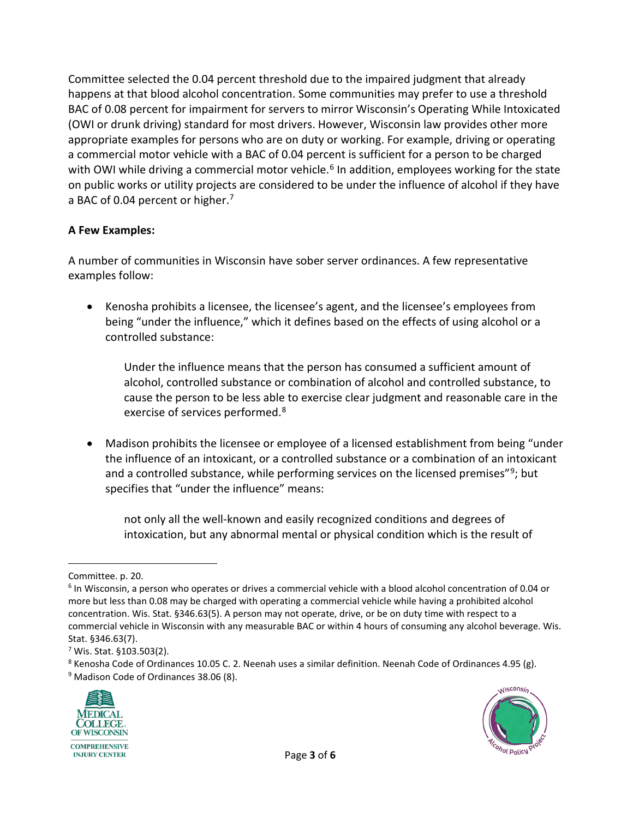Committee selected the 0.04 percent threshold due to the impaired judgment that already happens at that blood alcohol concentration. Some communities may prefer to use a threshold BAC of 0.08 percent for impairment for servers to mirror Wisconsin's Operating While Intoxicated (OWI or drunk driving) standard for most drivers. However, Wisconsin law provides other more appropriate examples for persons who are on duty or working. For example, driving or operating a commercial motor vehicle with a BAC of 0.04 percent is sufficient for a person to be charged with OWI while driving a commercial motor vehicle.<sup>[6](#page-2-0)</sup> In addition, employees working for the state on public works or utility projects are considered to be under the influence of alcohol if they have a BAC of 0.04 percent or higher.<sup>[7](#page-2-1)</sup>

### **A Few Examples:**

A number of communities in Wisconsin have sober server ordinances. A few representative examples follow:

• Kenosha prohibits a licensee, the licensee's agent, and the licensee's employees from being "under the influence," which it defines based on the effects of using alcohol or a controlled substance:

Under the influence means that the person has consumed a sufficient amount of alcohol, controlled substance or combination of alcohol and controlled substance, to cause the person to be less able to exercise clear judgment and reasonable care in the exercise of services performed.<sup>[8](#page-2-2)</sup>

• Madison prohibits the licensee or employee of a licensed establishment from being "under the influence of an intoxicant, or a controlled substance or a combination of an intoxicant and a controlled substance, while performing services on the licensed premises"<sup>[9](#page-2-3)</sup>; but specifies that "under the influence" means:

not only all the well-known and easily recognized conditions and degrees of intoxication, but any abnormal mental or physical condition which is the result of

<span id="page-2-3"></span><span id="page-2-2"></span><sup>&</sup>lt;sup>9</sup> Madison Code of Ordinances 38.06 (8).





Committee. p. 20.

<span id="page-2-0"></span><sup>6</sup> In Wisconsin, a person who operates or drives a commercial vehicle with a blood alcohol concentration of 0.04 or more but less than 0.08 may be charged with operating a commercial vehicle while having a prohibited alcohol concentration. Wis. Stat. §346.63(5). A person may not operate, drive, or be on duty time with respect to a commercial vehicle in Wisconsin with any measurable BAC or within 4 hours of consuming any alcohol beverage. Wis. Stat. §346.63(7).

<span id="page-2-1"></span> $7$  Wis. Stat. §103.503(2).

<sup>8</sup> Kenosha Code of Ordinances 10.05 C. 2. Neenah uses a similar definition. Neenah Code of Ordinances 4.95 (g).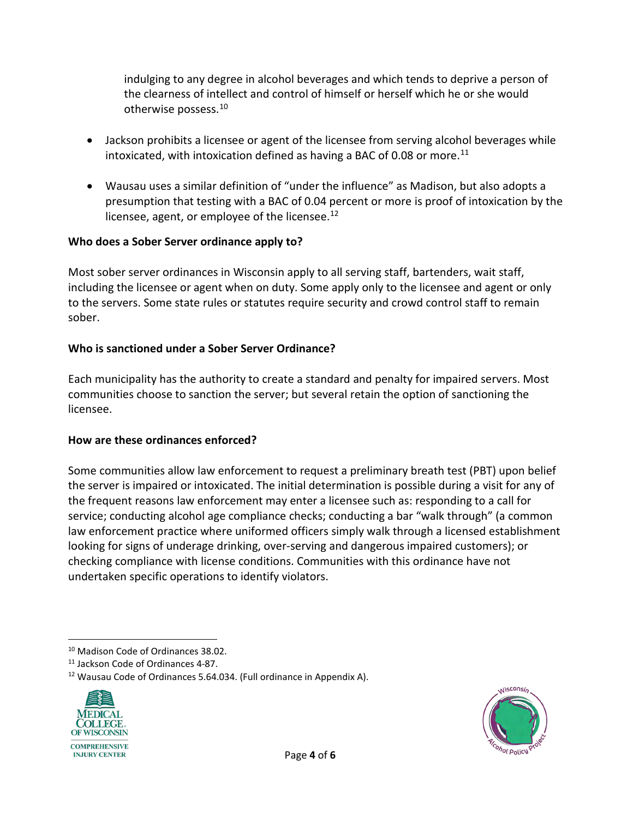indulging to any degree in alcohol beverages and which tends to deprive a person of the clearness of intellect and control of himself or herself which he or she would otherwise possess[.10](#page-3-0)

- Jackson prohibits a licensee or agent of the licensee from serving alcohol beverages while intoxicated, with intoxication defined as having a BAC of 0.08 or more.<sup>[11](#page-3-1)</sup>
- Wausau uses a similar definition of "under the influence" as Madison, but also adopts a presumption that testing with a BAC of 0.04 percent or more is proof of intoxication by the licensee, agent, or employee of the licensee. $^{12}$

#### **Who does a Sober Server ordinance apply to?**

Most sober server ordinances in Wisconsin apply to all serving staff, bartenders, wait staff, including the licensee or agent when on duty. Some apply only to the licensee and agent or only to the servers. Some state rules or statutes require security and crowd control staff to remain sober.

### **Who is sanctioned under a Sober Server Ordinance?**

Each municipality has the authority to create a standard and penalty for impaired servers. Most communities choose to sanction the server; but several retain the option of sanctioning the licensee.

#### **How are these ordinances enforced?**

Some communities allow law enforcement to request a preliminary breath test (PBT) upon belief the server is impaired or intoxicated. The initial determination is possible during a visit for any of the frequent reasons law enforcement may enter a licensee such as: responding to a call for service; conducting alcohol age compliance checks; conducting a bar "walk through" (a common law enforcement practice where uniformed officers simply walk through a licensed establishment looking for signs of underage drinking, over-serving and dangerous impaired customers); or checking compliance with license conditions. Communities with this ordinance have not undertaken specific operations to identify violators.

<span id="page-3-2"></span><span id="page-3-1"></span><sup>&</sup>lt;sup>12</sup> Wausau Code of Ordinances 5.64.034. (Full ordinance in Appendix A).





<span id="page-3-0"></span><sup>&</sup>lt;sup>10</sup> Madison Code of Ordinances 38.02.<br><sup>11</sup> Jackson Code of Ordinances 4-87.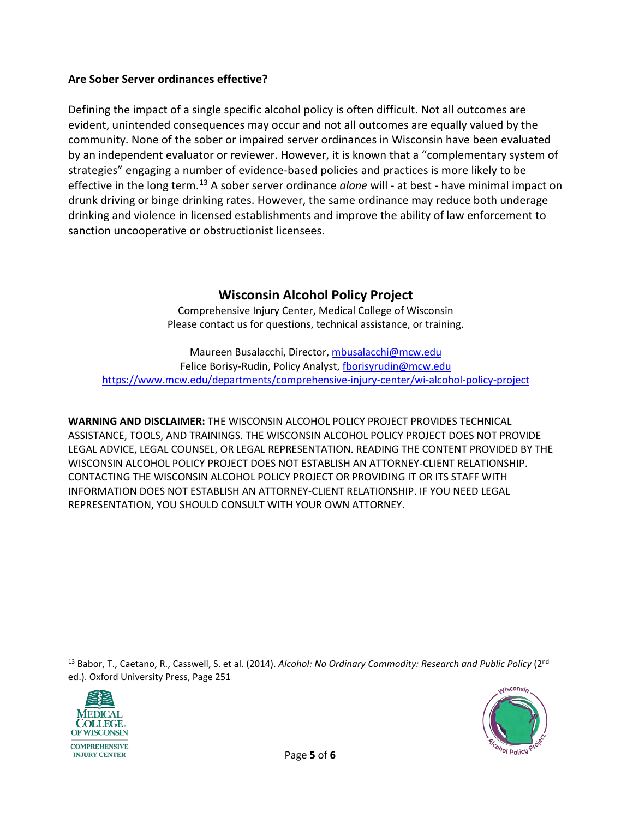#### **Are Sober Server ordinances effective?**

Defining the impact of a single specific alcohol policy is often difficult. Not all outcomes are evident, unintended consequences may occur and not all outcomes are equally valued by the community. None of the sober or impaired server ordinances in Wisconsin have been evaluated by an independent evaluator or reviewer. However, it is known that a "complementary system of strategies" engaging a number of evidence-based policies and practices is more likely to be effective in the long term.[13](#page-4-0) A sober server ordinance *alone* will - at best - have minimal impact on drunk driving or binge drinking rates. However, the same ordinance may reduce both underage drinking and violence in licensed establishments and improve the ability of law enforcement to sanction uncooperative or obstructionist licensees.

## **Wisconsin Alcohol Policy Project**

Comprehensive Injury Center, Medical College of Wisconsin Please contact us for questions, technical assistance, or training.

Maureen Busalacchi, Director, [mbusalacchi@mcw.edu](mailto:mbusalacchi@mcw.edu) Felice Borisy-Rudin, Policy Analyst, [fborisyrudin@mcw.edu](mailto:fborisyrudin@mcw.edu) <https://www.mcw.edu/departments/comprehensive-injury-center/wi-alcohol-policy-project>

**WARNING AND DISCLAIMER:** THE WISCONSIN ALCOHOL POLICY PROJECT PROVIDES TECHNICAL ASSISTANCE, TOOLS, AND TRAININGS. THE WISCONSIN ALCOHOL POLICY PROJECT DOES NOT PROVIDE LEGAL ADVICE, LEGAL COUNSEL, OR LEGAL REPRESENTATION. READING THE CONTENT PROVIDED BY THE WISCONSIN ALCOHOL POLICY PROJECT DOES NOT ESTABLISH AN ATTORNEY-CLIENT RELATIONSHIP. CONTACTING THE WISCONSIN ALCOHOL POLICY PROJECT OR PROVIDING IT OR ITS STAFF WITH INFORMATION DOES NOT ESTABLISH AN ATTORNEY-CLIENT RELATIONSHIP. IF YOU NEED LEGAL REPRESENTATION, YOU SHOULD CONSULT WITH YOUR OWN ATTORNEY.

<span id="page-4-0"></span>13 Babor, T., Caetano, R., Casswell, S. et al. (2014). Alcohol: No Ordinary Commodity: Research and Public Policy (2<sup>nd</sup> ed.). Oxford University Press, Page 251